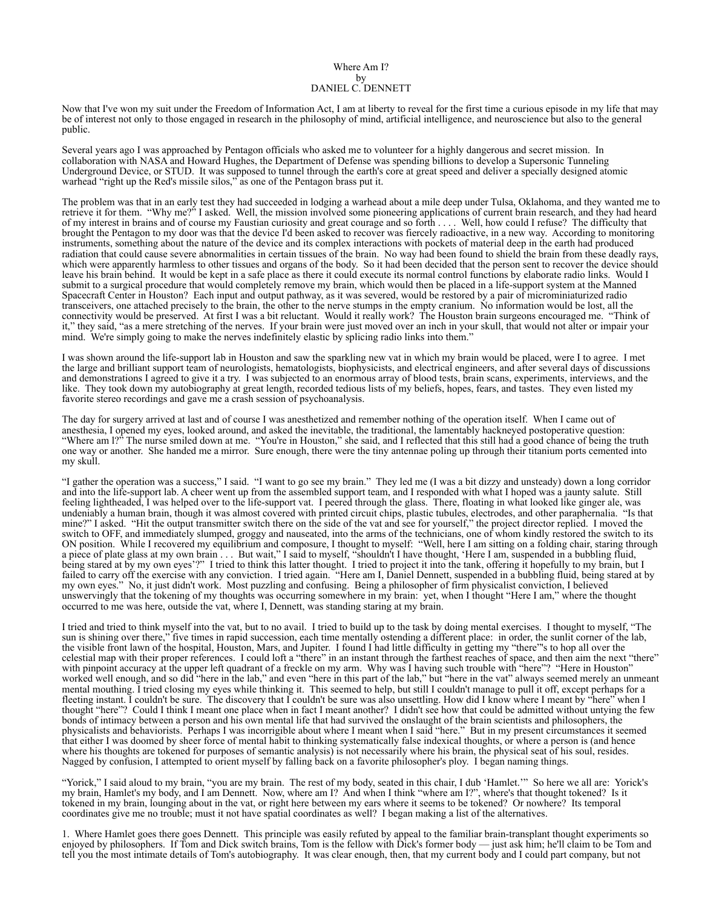## Where Am I? by DANIEL C. DENNETT

Now that I've won my suit under the Freedom of Information Act, I am at liberty to reveal for the first time a curious episode in my life that may be of interest not only to those engaged in research in the philosophy of mind, artificial intelligence, and neuroscience but also to the general public.

Several years ago I was approached by Pentagon officials who asked me to volunteer for a highly dangerous and secret mission. In collaboration with NASA and Howard Hughes, the Department of Defense was spending billions to develop a Supersonic Tunneling Underground Device, or STUD. It was supposed to tunnel through the earth's core at great speed and deliver a specially designed atomic warhead "right up the Red's missile silos," as one of the Pentagon brass put it.

The problem was that in an early test they had succeeded in lodging a warhead about a mile deep under Tulsa, Oklahoma, and they wanted me to retrieve it for them. "Why me?" I asked. Well, the mission involved some pioneering applications of current brain research, and they had heard of my interest in brains and of course my Faustian curiosity and great courage and so forth . . . . Well, how could I refuse? The difficulty that brought the Pentagon to my door was that the device I'd been asked to recover was fiercely radioactive, in a new way. According to monitoring instruments, something about the nature of the device and its complex interactions with pockets of material deep in the earth had produced radiation that could cause severe abnormalities in certain tissues of the brain. No way had been found to shield the brain from these deadly rays, which were apparently harmless to other tissues and organs of the body. So it had been decided that the person sent to recover the device should leave his brain behind. It would be kept in a safe place as there it could execute its normal control functions by elaborate radio links. Would I submit to a surgical procedure that would completely remove my brain, which would then be placed in a life-support system at the Manned Spacecraft Center in Houston? Each input and output pathway, as it was severed, would be restored by a pair of microminiaturized radio transceivers, one attached precisely to the brain, the other to the nerve stumps in the empty cranium. No information would be lost, all the connectivity would be preserved. At first I was a bit reluctant. Would it really work? The Houston brain surgeons encouraged me. "Think of it," they said, "as a mere stretching of the nerves. If your brain were just moved over an inch in your skull, that would not alter or impair your mind. We're simply going to make the nerves indefinitely elastic by splicing radio links into them."

I was shown around the life-support lab in Houston and saw the sparkling new vat in which my brain would be placed, were I to agree. I met the large and brilliant support team of neurologists, hematologists, biophysicists, and electrical engineers, and after several days of discussions and demonstrations I agreed to give it a try. I was subjected to an enormous array of blood tests, brain scans, experiments, interviews, and the like. They took down my autobiography at great length, recorded tedious lists of my beliefs, hopes, fears, and tastes. They even listed my favorite stereo recordings and gave me a crash session of psychoanalysis.

The day for surgery arrived at last and of course I was anesthetized and remember nothing of the operation itself. When I came out of anesthesia, I opened my eyes, looked around, and asked the inevitable, the traditional, the lamentably hackneyed postoperative question: "Where am l?" The nurse smiled down at me. "You're in Houston," she said, and I reflected that this still had a good chance of being the truth one way or another. She handed me a mirror. Sure enough, there were the tiny antennae poling up through their titanium ports cemented into my skull.

"I gather the operation was a success," I said. "I want to go see my brain." They led me (I was a bit dizzy and unsteady) down a long corridor and into the life-support lab. A cheer went up from the assembled support team, and I responded with what I hoped was a jaunty salute. Still feeling lightheaded, I was helped over to the life-support vat. I peered through the glass. There, floating in what looked like ginger ale, was undeniably a human brain, though it was almost covered with printed circuit chips, plastic tubules, electrodes, and other paraphernalia. "Is that mine?" I asked. "Hit the output transmitter switch there on the side of the vat and see for yourself," the project director replied. I moved the switch to OFF, and immediately slumped, groggy and nauseated, into the arms of the technicians, one of whom kindly restored the switch to its ON position. While I recovered my equilibrium and composure, I thought to myself: "Well, here I am sitting on a folding chair, staring through a piece of plate glass at my own brain . . . But wait," I said to myself, "shouldn't I have thought, 'Here I am, suspended in a bubbling fluid, being stared at by my own eyes'?" I tried to think this latter thought. I tried to project it into the tank, offering it hopefully to my brain, but I failed to carry off the exercise with any conviction. I tried again. "Here am I, Daniel Dennett, suspended in a bubbling fluid, being stared at by my own eyes." No, it just didn't work. Most puzzling and confusing. Being a philosopher of firm physicalist conviction, I believed unswervingly that the tokening of my thoughts was occurring somewhere in my brain: yet, when I thought "Here I am," where the thought occurred to me was here, outside the vat, where I, Dennett, was standing staring at my brain.

I tried and tried to think myself into the vat, but to no avail. I tried to build up to the task by doing mental exercises. I thought to myself, "The sun is shining over there," five times in rapid succession, each time mentally ostending a different place: in order, the sunlit corner of the lab, the visible front lawn of the hospital, Houston, Mars, and Jupiter. I found I had little difficulty in getting my "there"'s to hop all over the celestial map with their proper references. I could loft a "there" in an instant through the farthest reaches of space, and then aim the next "there" with pinpoint accuracy at the upper left quadrant of a freckle on my arm. Why was I having such trouble with "here"? "Here in Houston" worked well enough, and so did "here in the lab," and even "here in this part of the lab," but "here in the vat" always seemed merely an unmeant mental mouthing. I tried closing my eyes while thinking it. This seemed to help, but still I couldn't manage to pull it off, except perhaps for a fleeting instant. I couldn't be sure. The discovery that I couldn't be sure was also unsettling. How did I know where I meant by "here" when I thought "here"? Could I think I meant one place when in fact I meant another? I didn't see how that could be admitted without untying the few bonds of intimacy between a person and his own mental life that had survived the onslaught of the brain scientists and philosophers, the physicalists and behaviorists. Perhaps I was incorrigible about where I meant when I said "here." But in my present circumstances it seemed that either I was doomed by sheer force of mental habit to thinking systematically false indexical thoughts, or where a person is (and hence where his thoughts are tokened for purposes of semantic analysis) is not necessarily where his brain, the physical seat of his soul, resides. Nagged by confusion, I attempted to orient myself by falling back on a favorite philosopher's ploy. I began naming things.

"Yorick," I said aloud to my brain, "you are my brain. The rest of my body, seated in this chair, I dub 'Hamlet.'" So here we all are: Yorick's my brain, Hamlet's my body, and I am Dennett. Now, where am I? And when I think "where am I?", where's that thought tokened? Is it tokened in my brain, lounging about in the vat, or right here between my ears where it seems to be tokened? Or nowhere? Its temporal coordinates give me no trouble; must it not have spatial coordinates as well? I began making a list of the alternatives.

1. Where Hamlet goes there goes Dennett. This principle was easily refuted by appeal to the familiar brain-transplant thought experiments so enjoyed by philosophers. If Tom and Dick switch brains, Tom is the fellow with Dick's former body — just ask him; he'll claim to be Tom and tell you the most intimate details of Tom's autobiography. It was clear enough, then, that my current body and I could part company, but not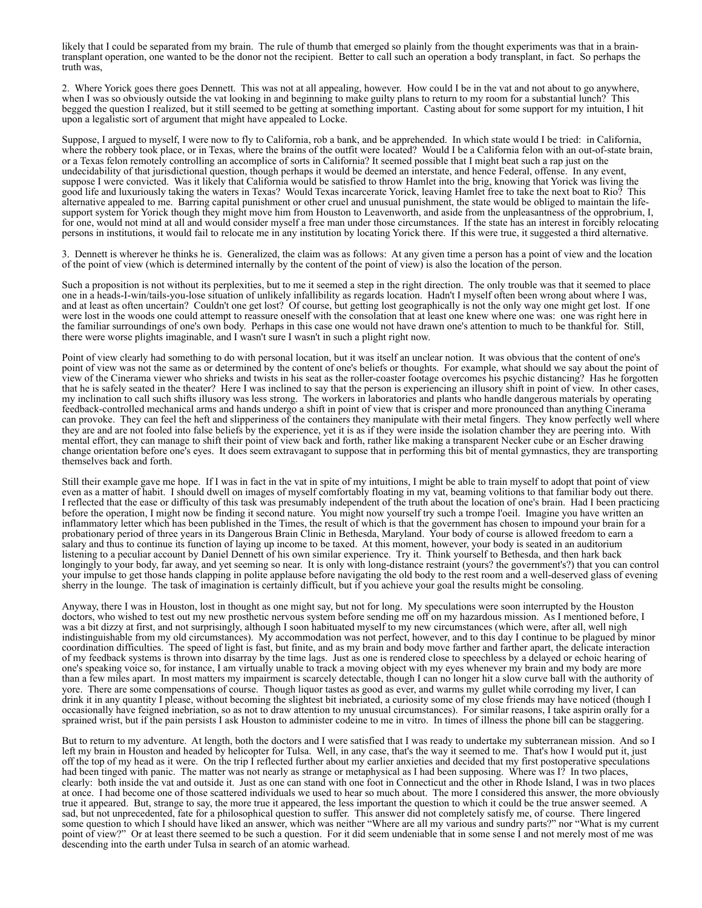likely that I could be separated from my brain. The rule of thumb that emerged so plainly from the thought experiments was that in a braintransplant operation, one wanted to be the donor not the recipient. Better to call such an operation a body transplant, in fact. So perhaps the truth was,

2. Where Yorick goes there goes Dennett. This was not at all appealing, however. How could I be in the vat and not about to go anywhere, when I was so obviously outside the vat looking in and beginning to make guilty plans to return to my room for a substantial lunch? This begged the question I realized, but it still seemed to be getting at something important. Casting about for some support for my intuition, I hit upon a legalistic sort of argument that might have appealed to Locke.

Suppose, I argued to myself, I were now to fly to California, rob a bank, and be apprehended. In which state would I be tried: in California, where the robbery took place, or in Texas, where the brains of the outfit were located? Would I be a California felon with an out-of-state brain, or a Texas felon remotely controlling an accomplice of sorts in California? It seemed possible that I might beat such a rap just on the undecidability of that jurisdictional question, though perhaps it would be deemed an interstate, and hence Federal, offense. In any event, suppose I were convicted. Was it likely that California would be satisfied to throw Hamlet into the brig, knowing that Yorick was living the good life and luxuriously taking the waters in Texas? Would Texas incarcerate Yorick, leaving Hamlet free to take the next boat to Rio? This alternative appealed to me. Barring capital punishment or other cruel and unusual punishment, the state would be obliged to maintain the lifesupport system for Yorick though they might move him from Houston to Leavenworth, and aside from the unpleasantness of the opprobrium, I, for one, would not mind at all and would consider myself a free man under those circumstances. If the state has an interest in forcibly relocating persons in institutions, it would fail to relocate me in any institution by locating Yorick there. If this were true, it suggested a third alternative.

3. Dennett is wherever he thinks he is. Generalized, the claim was as follows: At any given time a person has a point of view and the location of the point of view (which is determined internally by the content of the point of view) is also the location of the person.

Such a proposition is not without its perplexities, but to me it seemed a step in the right direction. The only trouble was that it seemed to place one in a heads-I-win/tails-you-lose situation of unlikely infallibility as regards location. Hadn't I myself often been wrong about where I was, and at least as often uncertain? Couldn't one get lost? Of course, but getting lost geographically is not the only way one might get lost. If one were lost in the woods one could attempt to reassure oneself with the consolation that at least one knew where one was: one was right here in the familiar surroundings of one's own body. Perhaps in this case one would not have drawn one's attention to much to be thankful for. Still, there were worse plights imaginable, and I wasn't sure I wasn't in such a plight right now.

Point of view clearly had something to do with personal location, but it was itself an unclear notion. It was obvious that the content of one's point of view was not the same as or determined by the content of one's beliefs or thoughts. For example, what should we say about the point of view of the Cinerama viewer who shrieks and twists in his seat as the roller-coaster footage overcomes his psychic distancing? Has he forgotten that he is safely seated in the theater? Here I was inclined to say that the person is experiencing an illusory shift in point of view. In other cases, my inclination to call such shifts illusory was less strong. The workers in laboratories and plants who handle dangerous materials by operating feedback-controlled mechanical arms and hands undergo a shift in point of view that is crisper and more pronounced than anything Cinerama can provoke. They can feel the heft and slipperiness of the containers they manipulate with their metal fingers. They know perfectly well where they are and are not fooled into false beliefs by the experience, yet it is as if they were inside the isolation chamber they are peering into. With mental effort, they can manage to shift their point of view back and forth, rather like making a transparent Necker cube or an Escher drawing change orientation before one's eyes. It does seem extravagant to suppose that in performing this bit of mental gymnastics, they are transporting themselves back and forth.

Still their example gave me hope. If I was in fact in the vat in spite of my intuitions, I might be able to train myself to adopt that point of view even as a matter of habit. I should dwell on images of myself comfortably floating in my vat, beaming volitions to that familiar body out there. I reflected that the ease or difficulty of this task was presumably independent of the truth about the location of one's brain. Had I been practicing before the operation, I might now be finding it second nature. You might now yourself try such a trompe l'oeil. Imagine you have written an inflammatory letter which has been published in the Times, the result of which is that the government has chosen to impound your brain for a probationary period of three years in its Dangerous Brain Clinic in Bethesda, Maryland. Your body of course is allowed freedom to earn a salary and thus to continue its function of laying up income to be taxed. At this moment, however, your body is seated in an auditorium listening to a peculiar account by Daniel Dennett of his own similar experience. Try it. Think yourself to Bethesda, and then hark back longingly to your body, far away, and yet seeming so near. It is only with long-distance restraint (yours? the government's?) that you can control your impulse to get those hands clapping in polite applause before navigating the old body to the rest room and a well-deserved glass of evening sherry in the lounge. The task of imagination is certainly difficult, but if you achieve your goal the results might be consoling.

Anyway, there I was in Houston, lost in thought as one might say, but not for long. My speculations were soon interrupted by the Houston doctors, who wished to test out my new prosthetic nervous system before sending me off on my hazardous mission. As I mentioned before, I was a bit dizzy at first, and not surprisingly, although I soon habituated myself to my new circumstances (which were, after all, well nigh indistinguishable from my old circumstances). My accommodation was not perfect, however, and to this day I continue to be plagued by minor coordination difficulties. The speed of light is fast, but finite, and as my brain and body move farther and farther apart, the delicate interaction of my feedback systems is thrown into disarray by the time lags. Just as one is rendered close to speechless by a delayed or echoic hearing of one's speaking voice so, for instance, I am virtually unable to track a moving object with my eyes whenever my brain and my body are more than a few miles apart. In most matters my impairment is scarcely detectable, though I can no longer hit a slow curve ball with the authority of yore. There are some compensations of course. Though liquor tastes as good as ever, and warms my gullet while corroding my liver, I can drink it in any quantity I please, without becoming the slightest bit inebriated, a curiosity some of my close friends may have noticed (though I occasionally have feigned inebriation, so as not to draw attention to my unusual circumstances). For similar reasons, I take aspirin orally for a sprained wrist, but if the pain persists I ask Houston to administer codeine to me in vitro. In times of illness the phone bill can be staggering.

But to return to my adventure. At length, both the doctors and I were satisfied that I was ready to undertake my subterranean mission. And so I left my brain in Houston and headed by helicopter for Tulsa. Well, in any case, that's the way it seemed to me. That's how I would put it, just off the top of my head as it were. On the trip I reflected further about my earlier anxieties and decided that my first postoperative speculations had been tinged with panic. The matter was not nearly as strange or metaphysical as I had been supposing. Where was I? In two places, clearly: both inside the vat and outside it. Just as one can stand with one foot in Connecticut and the other in Rhode Island, I was in two places at once. I had become one of those scattered individuals we used to hear so much about. The more I considered this answer, the more obviously true it appeared. But, strange to say, the more true it appeared, the less important the question to which it could be the true answer seemed. A sad, but not unprecedented, fate for a philosophical question to suffer. This answer did not completely satisfy me, of course. There lingered some question to which I should have liked an answer, which was neither "Where are all my various and sundry parts?" nor "What is my current point of view?" Or at least there seemed to be such a question. For it did seem undeniable that in some sense I and not merely most of me was descending into the earth under Tulsa in search of an atomic warhead.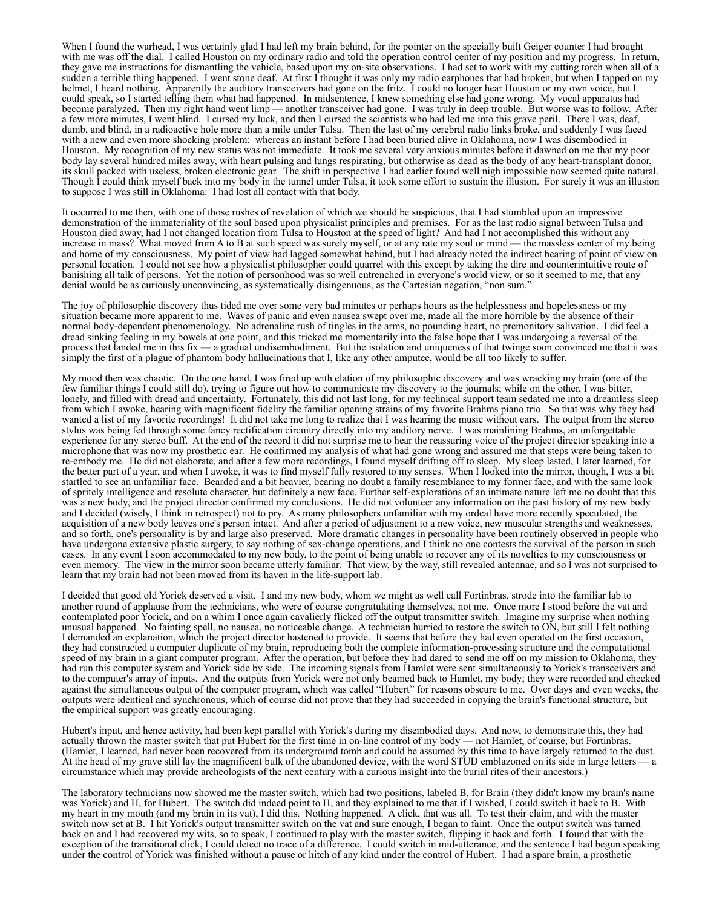When I found the warhead, I was certainly glad I had left my brain behind, for the pointer on the specially built Geiger counter I had brought with me was off the dial. I called Houston on my ordinary radio and told the operation control center of my position and my progress. In return, they gave me instructions for dismantling the vehicle, based upon my on-site observations. I had set to work with my cutting torch when all of a sudden a terrible thing happened. I went stone deaf. At first I thought it was only my radio earphones that had broken, but when I tapped on my helmet, I heard nothing. Apparently the auditory transceivers had gone on the fritz. I could no longer hear Houston or my own voice, but I could speak, so I started telling them what had happened. In midsentence, I knew something else had gone wrong. My vocal apparatus had become paralyzed. Then my right hand went limp — another transceiver had gone. I was truly in deep trouble. But worse was to follow. After a few more minutes, I went blind. I cursed my luck, and then I cursed the scientists who had led me into this grave peril. There I was, deaf, dumb, and blind, in a radioactive hole more than a mile under Tulsa. Then the last of my cerebral radio links broke, and suddenly I was faced with a new and even more shocking problem: whereas an instant before I had been buried alive in Oklahoma, now I was disembodied in Houston. My recognition of my new status was not immediate. It took me several very anxious minutes before it dawned on me that my poor body lay several hundred miles away, with heart pulsing and lungs respirating, but otherwise as dead as the body of any heart-transplant donor, its skull packed with useless, broken electronic gear. The shift in perspective I had earlier found well nigh impossible now seemed quite natural. Though I could think myself back into my body in the tunnel under Tulsa, it took some effort to sustain the illusion. For surely it was an illusion to suppose I was still in Oklahoma: I had lost all contact with that body.

It occurred to me then, with one of those rushes of revelation of which we should be suspicious, that I had stumbled upon an impressive demonstration of the immateriality of the soul based upon physicalist principles and premises. For as the last radio signal between Tulsa and Houston died away, had I not changed location from Tulsa to Houston at the speed of light? And had I not accomplished this without any increase in mass? What moved from A to B at such speed was surely myself, or at any rate my soul or mind — the massless center of my being and home of my consciousness. My point of view had lagged somewhat behind, but I had already noted the indirect bearing of point of view on personal location. I could not see how a physicalist philosopher could quarrel with this except by taking the dire and counterintuitive route of banishing all talk of persons. Yet the notion of personhood was so well entrenched in everyone's world view, or so it seemed to me, that any denial would be as curiously unconvincing, as systematically disingenuous, as the Cartesian negation, "non sum."

The joy of philosophic discovery thus tided me over some very bad minutes or perhaps hours as the helplessness and hopelessness or my situation became more apparent to me. Waves of panic and even nausea swept over me, made all the more horrible by the absence of their normal body-dependent phenomenology. No adrenaline rush of tingles in the arms, no pounding heart, no premonitory salivation. I did feel a dread sinking feeling in my bowels at one point, and this tricked me momentarily into the false hope that I was undergoing a reversal of the process that landed me in this fix — a gradual undisembodiment. But the isolation and uniqueness of that twinge soon convinced me that it was simply the first of a plague of phantom body hallucinations that I, like any other amputee, would be all too likely to suffer.

My mood then was chaotic. On the one hand, I was fired up with elation of my philosophic discovery and was wracking my brain (one of the few familiar things I could still do), trying to figure out how to communicate my discovery to the journals; while on the other, I was bitter, lonely, and filled with dread and uncertainty. Fortunately, this did not last long, for my technical support team sedated me into a dreamless sleep from which I awoke, hearing with magnificent fidelity the familiar opening strains of my favorite Brahms piano trio. So that was why they had wanted a list of my favorite recordings! It did not take me long to realize that I was hearing the music without ears. The output from the stereo stylus was being fed through some fancy rectification circuitry directly into my auditory nerve. I was mainlining Brahms, an unforgettable experience for any stereo buff. At the end of the record it did not surprise me to hear the reassuring voice of the project director speaking into a microphone that was now my prosthetic ear. He confirmed my analysis of what had gone wrong and assured me that steps were being taken to re-embody me. He did not elaborate, and after a few more recordings, I found myself drifting off to sleep. My sleep lasted, I later learned, for the better part of a year, and when I awoke, it was to find myself fully restored to my senses. When I looked into the mirror, though, I was a bit startled to see an unfamiliar face. Bearded and a bit heavier, bearing no doubt a family resemblance to my former face, and with the same look of spritely intelligence and resolute character, but definitely a new face. Further self-explorations of an intimate nature left me no doubt that this was a new body, and the project director confirmed my conclusions. He did not volunteer any information on the past history of my new body and I decided (wisely, I think in retrospect) not to pry. As many philosophers unfamiliar with my ordeal have more recently speculated, the acquisition of a new body leaves one's person intact. And after a period of adjustment to a new voice, new muscular strengths and weaknesses, and so forth, one's personality is by and large also preserved. More dramatic changes in personality have been routinely observed in people who have undergone extensive plastic surgery, to say nothing of sex-change operations, and I think no one contests the survival of the person in such cases. In any event I soon accommodated to my new body, to the point of being unable to recover any of its novelties to my consciousness or even memory. The view in the mirror soon became utterly familiar. That view, by the way, still revealed antennae, and so l was not surprised to learn that my brain had not been moved from its haven in the life-support lab.

I decided that good old Yorick deserved a visit. I and my new body, whom we might as well call Fortinbras, strode into the familiar lab to another round of applause from the technicians, who were of course congratulating themselves, not me. Once more I stood before the vat and contemplated poor Yorick, and on a whim I once again cavalierly flicked off the output transmitter switch. Imagine my surprise when nothing unusual happened. No fainting spell, no nausea, no noticeable change. A technician hurried to restore the switch to ON, but still I felt nothing. I demanded an explanation, which the project director hastened to provide. It seems that before they had even operated on the first occasion, they had constructed a computer duplicate of my brain, reproducing both the complete information-processing structure and the computational speed of my brain in a giant computer program. After the operation, but before they had dared to send me off on my mission to Oklahoma, they had run this computer system and Yorick side by side. The incoming signals from Hamlet were sent simultaneously to Yorick's transceivers and to the computer's array of inputs. And the outputs from Yorick were not only beamed back to Hamlet, my body; they were recorded and checked against the simultaneous output of the computer program, which was called "Hubert" for reasons obscure to me. Over days and even weeks, the outputs were identical and synchronous, which of course did not prove that they had succeeded in copying the brain's functional structure, but the empirical support was greatly encouraging.

Hubert's input, and hence activity, had been kept parallel with Yorick's during my disembodied days. And now, to demonstrate this, they had actually thrown the master switch that put Hubert for the first time in on-line control of my body — not Hamlet, of course, but Fortinbras. (Hamlet, I learned, had never been recovered from its underground tomb and could be assumed by this time to have largely returned to the dust. At the head of my grave still lay the magnificent bulk of the abandoned device, with the word STUD emblazoned on its side in large letters — a circumstance which may provide archeologists of the next century with a curious insight into the burial rites of their ancestors.)

The laboratory technicians now showed me the master switch, which had two positions, labeled B, for Brain (they didn't know my brain's name was Yorick) and H, for Hubert. The switch did indeed point to H, and they explained to me that if I wished, I could switch it back to B. With my heart in my mouth (and my brain in its vat), I did this. Nothing happened. A click, that was all. To test their claim, and with the master switch now set at B. I hit Yorick's output transmitter switch on the vat and sure enough, I began to faint. Once the output switch was turned back on and I had recovered my wits, so to speak, I continued to play with the master switch, flipping it back and forth. I found that with the exception of the transitional click, I could detect no trace of a difference. I could switch in mid-utterance, and the sentence I had begun speaking under the control of Yorick was finished without a pause or hitch of any kind under the control of Hubert. I had a spare brain, a prosthetic